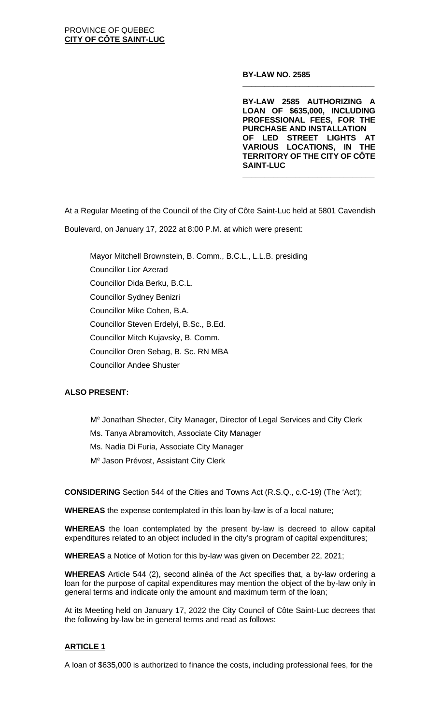#### **BY-LAW NO. 2585**

**BY-LAW 2585 AUTHORIZING A LOAN OF \$635,000, INCLUDING PROFESSIONAL FEES, FOR THE PURCHASE AND INSTALLATION OF LED STREET LIGHTS AT VARIOUS LOCATIONS, IN THE TERRITORY OF THE CITY OF CÔTE SAINT-LUC**

**\_\_\_\_\_\_\_\_\_\_\_\_\_\_\_\_\_\_\_\_\_\_\_\_\_\_\_\_\_\_**

**\_\_\_\_\_\_\_\_\_\_\_\_\_\_\_\_\_\_\_\_\_\_\_\_\_\_\_\_\_\_**

At a Regular Meeting of the Council of the City of Côte Saint-Luc held at 5801 Cavendish

Boulevard, on January 17, 2022 at 8:00 P.M. at which were present:

Mayor Mitchell Brownstein, B. Comm., B.C.L., L.L.B. presiding Councillor Lior Azerad Councillor Dida Berku, B.C.L. Councillor Sydney Benizri Councillor Mike Cohen, B.A. Councillor Steven Erdelyi, B.Sc., B.Ed. Councillor Mitch Kujavsky, B. Comm. Councillor Oren Sebag, B. Sc. RN MBA Councillor Andee Shuster

# **ALSO PRESENT:**

Me Jonathan Shecter, City Manager, Director of Legal Services and City Clerk

Ms. Tanya Abramovitch, Associate City Manager

Ms. Nadia Di Furia, Associate City Manager

Me Jason Prévost, Assistant City Clerk

**CONSIDERING** Section 544 of the Cities and Towns Act (R.S.Q., c.C-19) (The 'Act');

**WHEREAS** the expense contemplated in this loan by-law is of a local nature;

**WHEREAS** the loan contemplated by the present by-law is decreed to allow capital expenditures related to an object included in the city's program of capital expenditures;

**WHEREAS** a Notice of Motion for this by-law was given on December 22, 2021;

**WHEREAS** Article 544 (2), second alinéa of the Act specifies that, a by-law ordering a loan for the purpose of capital expenditures may mention the object of the by-law only in general terms and indicate only the amount and maximum term of the loan;

At its Meeting held on January 17, 2022 the City Council of Côte Saint-Luc decrees that the following by-law be in general terms and read as follows:

# **ARTICLE 1**

A loan of \$635,000 is authorized to finance the costs, including professional fees, for the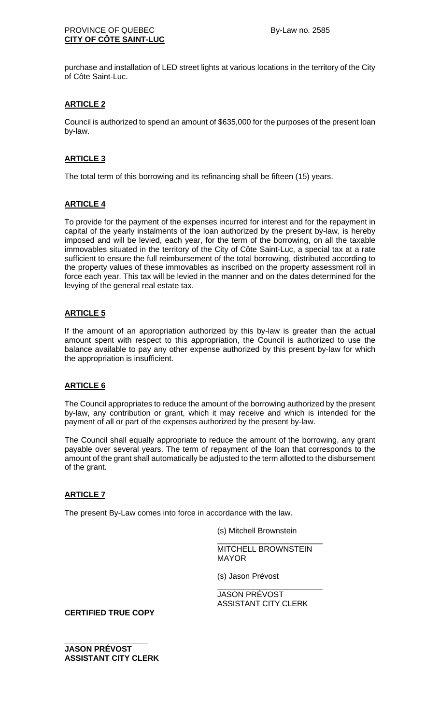purchase and installation of LED street lights at various locations in the territory of the City of Côte Saint-Luc.

### **ARTICLE 2**

Council is authorized to spend an amount of \$635,000 for the purposes of the present loan by-law.

### **ARTICLE 3**

The total term of this borrowing and its refinancing shall be fifteen (15) years.

### **ARTICLE 4**

To provide for the payment of the expenses incurred for interest and for the repayment in capital of the yearly instalments of the loan authorized by the present by-law, is hereby imposed and will be levied, each year, for the term of the borrowing, on all the taxable immovables situated in the territory of the City of Côte Saint-Luc, a special tax at a rate sufficient to ensure the full reimbursement of the total borrowing, distributed according to the property values of these immovables as inscribed on the property assessment roll in force each year. This tax will be levied in the manner and on the dates determined for the levying of the general real estate tax.

### **ARTICLE 5**

If the amount of an appropriation authorized by this by-law is greater than the actual amount spent with respect to this appropriation, the Council is authorized to use the balance available to pay any other expense authorized by this present by-law for which the appropriation is insufficient.

#### **ARTICLE 6**

The Council appropriates to reduce the amount of the borrowing authorized by the present by-law, any contribution or grant, which it may receive and which is intended for the payment of all or part of the expenses authorized by the present by-law.

The Council shall equally appropriate to reduce the amount of the borrowing, any grant payable over several years. The term of repayment of the loan that corresponds to the amount of the grant shall automatically be adjusted to the term allotted to the disbursement of the grant.

# **ARTICLE 7**

The present By-Law comes into force in accordance with the law.

(s) Mitchell Brownstein

\_\_\_\_\_\_\_\_\_\_\_\_\_\_\_\_\_\_\_\_\_\_\_\_ MITCHELL BROWNSTEIN MAYOR

(s) Jason Prévost

\_\_\_\_\_\_\_\_\_\_\_\_\_\_\_\_\_\_\_\_\_\_\_\_ JASON PRÉVOST ASSISTANT CITY CLERK

**CERTIFIED TRUE COPY**

**\_\_\_\_\_\_\_\_\_\_\_\_\_\_\_\_\_\_\_ JASON PRÉVOST ASSISTANT CITY CLERK**